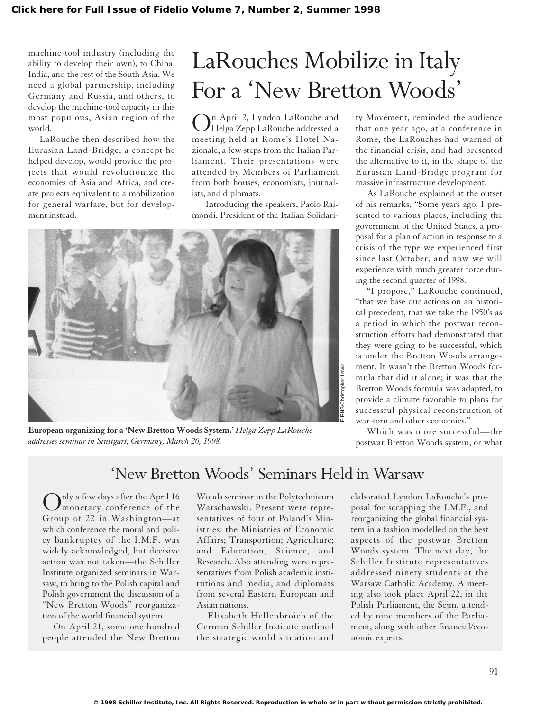machine-tool industry (including the ability to develop their own), to China, India, and the rest of the South Asia. We need a global partnership, including Germany and Russia, and others, to develop the machine-tool capacity in this most populous, Asian region of the world.

LaRouche then described how the Eurasian Land-Bridge, a concept he helped develop, would provide the projects that would revolutionize the economies of Asia and Africa, and create projects equivalent to a mobilization for general warfare, but for development instead.

## LaRouches Mobilize in Italy For a 'New Bretton Woods'

In April 2, Lyndon LaRouche and Helga Zepp LaRouche addressed a meeting held at Rome's Hotel Nazionale, a few steps from the Italian Parliament. Their presentations were attended by Members of Parliament from both houses, economists, journalists, and diplomats.

Introducing the speakers, Paolo Raimondi, President of the Italian Solidari-



**European organizing for a 'New Bretton Woods System.'** *Helga Zepp LaRouche addresses seminar in Stuttgart, Germany, March 20, 1998.*

ty Movement, reminded the audience that one year ago, at a conference in Rome, the LaRouches had warned of the financial crisis, and had presented the alternative to it, in the shape of the Eurasian Land-Bridge program for massive infrastructure development.

As LaRouche explained at the outset of his remarks, "Some years ago, I presented to various places, including the government of the United States, a proposal for a plan of action in response to a crisis of the type we experienced first since last October, and now we will experience with much greater force during the second quarter of 1998.

"I propose," LaRouche continued, "that we base our actions on an historical precedent, that we take the 1950's as a period in which the postwar reconstruction efforts had demonstrated that they were going to be successful, which is under the Bretton Woods arrangement. It wasn't the Bretton Woods formula that did it alone; it was that the Bretton Woods formula was adapted, to provide a climate favorable to plans for successful physical reconstruction of war-torn and other economies."

Which was more successful—the postwar Bretton Woods system, or what

## 'New Bretton Woods' Seminars Held in Warsaw

Only a few days after the April 16 monetary conference of the Group of 22 in Washington—at which conference the moral and policy bankruptcy of the I.M.F. was widely acknowledged, but decisive action was not taken—the Schiller Institute organized seminars in Warsaw, to bring to the Polish capital and Polish government the discussion of a "New Bretton Woods" reorganization of the world financial system.

On April 21, some one hundred people attended the New Bretton

Woods seminar in the Polytechnicum Warschawski. Present were representatives of four of Poland's Ministries: the Ministries of Economic Affairs; Transportion; Agriculture; and Education, Science, and Research. Also attending were representatives from Polish academic institutions and media, and diplomats from several Eastern European and Asian nations.

Elisabeth Hellenbroich of the German Schiller Institute outlined the strategic world situation and elaborated Lyndon LaRouche's proposal for scrapping the I.M.F., and reorganizing the global financial system in a fashion modelled on the best aspects of the postwar Bretton Woods system. The next day, the Schiller Institute representatives addressed ninety students at the Warsaw Catholic Academy. A meeting also took place April 22, in the Polish Parliament, the Sejm, attended by nine members of the Parliament, along with other financial/economic experts.